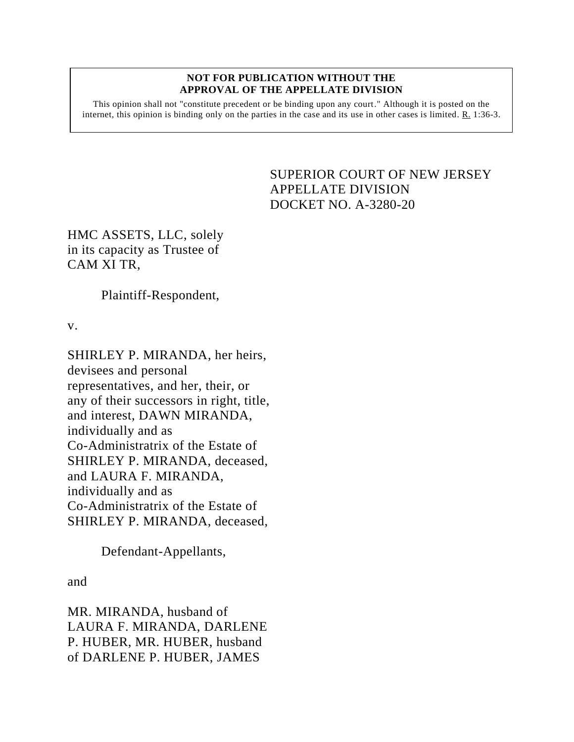## **NOT FOR PUBLICATION WITHOUT THE APPROVAL OF THE APPELLATE DIVISION**

This opinion shall not "constitute precedent or be binding upon any court." Although it is posted on the internet, this opinion is binding only on the parties in the case and its use in other cases is limited. R. 1:36-3.

## <span id="page-0-0"></span>SUPERIOR COURT OF NEW JERSEY APPELLATE DIVISION DOCKET NO. A-3280-20

HMC ASSETS, LLC, solely in its capacity as Trustee of CAM XI TR,

Plaintiff-Respondent,

v.

SHIRLEY P. MIRANDA, her heirs, devisees and personal representatives, and her, their, or any of their successors in right, title, and interest, DAWN MIRANDA, individually and as Co-Administratrix of the Estate of SHIRLEY P. MIRANDA, deceased, and LAURA F. MIRANDA, individually and as Co-Administratrix of the Estate of SHIRLEY P. MIRANDA, deceased,

Defendant-Appellants,

and

MR. MIRANDA, husband of LAURA F. MIRANDA, DARLENE P. HUBER, MR. HUBER, husband of DARLENE P. HUBER, JAMES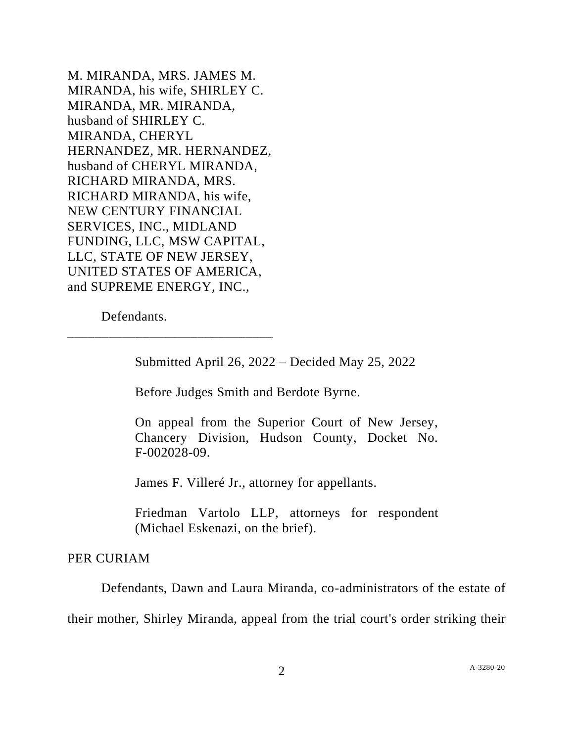M. MIRANDA, MRS. JAMES M. MIRANDA, his wife, SHIRLEY C. MIRANDA, MR. MIRANDA, husband of SHIRLEY C. MIRANDA, CHERYL HERNANDEZ, MR. HERNANDEZ, husband of CHERYL MIRANDA, RICHARD MIRANDA, MRS. RICHARD MIRANDA, his wife, NEW CENTURY FINANCIAL SERVICES, INC., MIDLAND FUNDING, LLC, MSW CAPITAL, LLC, STATE OF NEW JERSEY, UNITED STATES OF AMERICA, and SUPREME ENERGY, INC.,

Defendants.

\_\_\_\_\_\_\_\_\_\_\_\_\_\_\_\_\_\_\_\_\_\_\_\_\_\_\_\_\_\_

Submitted April 26, 2022 – Decided May 25, 2022

Before Judges Smith and Berdote Byrne.

On appeal from the Superior Court of New Jersey, Chancery Division, Hudson County, Docket No. F-002028-09.

James F. Villeré Jr., attorney for appellants.

Friedman Vartolo LLP, attorneys for respondent (Michael Eskenazi, on the brief).

## PER CURIAM

Defendants, Dawn and Laura Miranda, co-administrators of the estate of

their mother, Shirley Miranda, appeal from the trial court's order striking their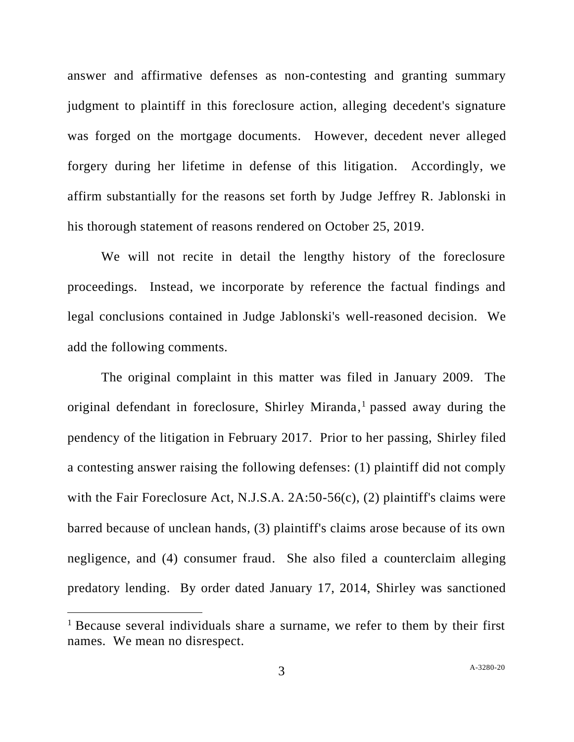answer and affirmative defenses as non-contesting and granting summary judgment to plaintiff in this foreclosure action, alleging decedent's signature was forged on the mortgage documents. However, decedent never alleged forgery during her lifetime in defense of this litigation. Accordingly, we affirm substantially for the reasons set forth by Judge Jeffrey R. Jablonski in his thorough statement of reasons rendered on October 25, 2019.

We will not recite in detail the lengthy history of the foreclosure proceedings. Instead, we incorporate by reference the factual findings and legal conclusions contained in Judge Jablonski's well-reasoned decision. We add the following comments.

The original complaint in this matter was filed in January 2009. The original defendant in foreclosure, Shirley Miranda, <sup>1</sup> passed away during the pendency of the litigation in February 2017. Prior to her passing, Shirley filed a contesting answer raising the following defenses: (1) plaintiff did not comply with the Fair Foreclosure Act, N.J.S.A. 2A:50-56(c), (2) plaintiff's claims were barred because of unclean hands, (3) plaintiff's claims arose because of its own negligence, and (4) consumer fraud. She also filed a counterclaim alleging predatory lending. By order dated January 17, 2014, Shirley was sanctioned

<sup>&</sup>lt;sup>1</sup> Because several individuals share a surname, we refer to them by their first names. We mean no disrespect.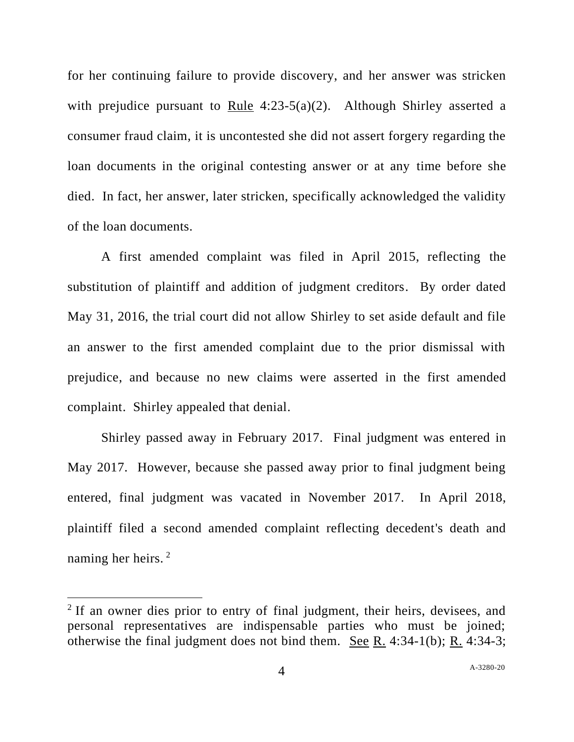for her continuing failure to provide discovery, and her answer was stricken with prejudice pursuant to Rule 4:23-5(a)(2). Although Shirley asserted a consumer fraud claim, it is uncontested she did not assert forgery regarding the loan documents in the original contesting answer or at any time before she died. In fact, her answer, later stricken, specifically acknowledged the validity of the loan documents.

A first amended complaint was filed in April 2015, reflecting the substitution of plaintiff and addition of judgment creditors. By order dated May 31, 2016, the trial court did not allow Shirley to set aside default and file an answer to the first amended complaint due to the prior dismissal with prejudice, and because no new claims were asserted in the first amended complaint. Shirley appealed that denial.

Shirley passed away in February 2017. Final judgment was entered in May 2017. However, because she passed away prior to final judgment being entered, final judgment was vacated in November 2017. In April 2018, plaintiff filed a second amended complaint reflecting decedent's death and naming her heirs. <sup>2</sup>

<sup>&</sup>lt;sup>2</sup> If an owner dies prior to entry of final judgment, their heirs, devisees, and personal representatives are indispensable parties who must be joined; otherwise the final judgment does not bind them. See R. 4:34-1(b); R. 4:34-3;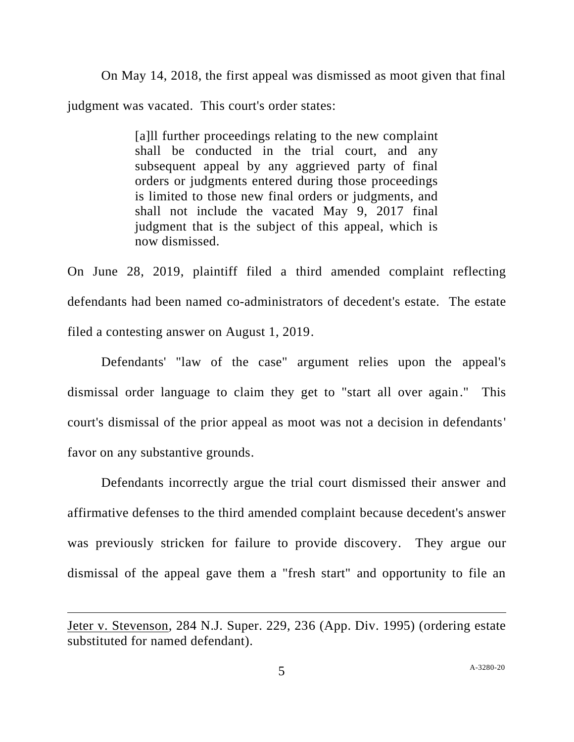On May 14, 2018, the first appeal was dismissed as moot given that final judgment was vacated. This court's order states:

> [a]ll further proceedings relating to the new complaint shall be conducted in the trial court, and any subsequent appeal by any aggrieved party of final orders or judgments entered during those proceedings is limited to those new final orders or judgments, and shall not include the vacated May 9, 2017 final judgment that is the subject of this appeal, which is now dismissed.

On June 28, 2019, plaintiff filed a third amended complaint reflecting defendants had been named co-administrators of decedent's estate. The estate filed a contesting answer on August 1, 2019.

Defendants' "law of the case" argument relies upon the appeal's dismissal order language to claim they get to "start all over again." This court's dismissal of the prior appeal as moot was not a decision in defendants' favor on any substantive grounds.

Defendants incorrectly argue the trial court dismissed their answer and affirmative defenses to the third amended complaint because decedent's answer was previously stricken for failure to provide discovery. They argue our dismissal of the appeal gave them a "fresh start" and opportunity to file an

Jeter v. Stevenson, 284 N.J. Super. 229, 236 (App. Div. 1995) (ordering estate substituted for named defendant).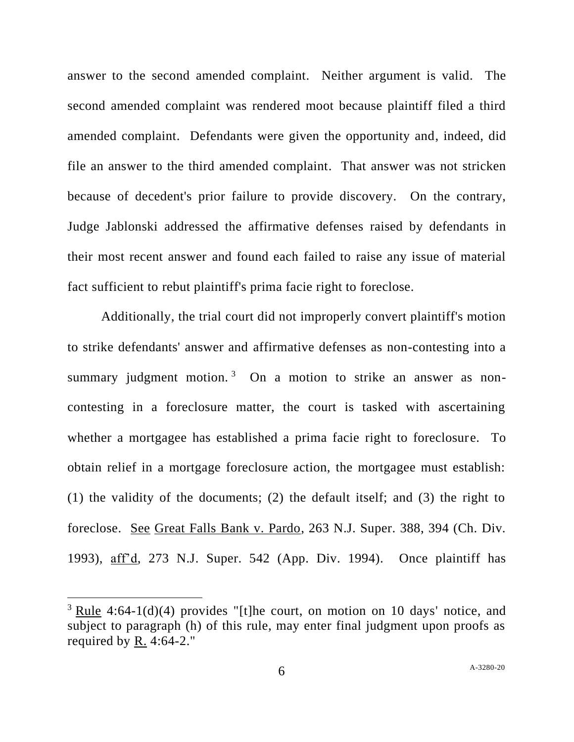answer to the second amended complaint. Neither argument is valid. The second amended complaint was rendered moot because plaintiff filed a third amended complaint. Defendants were given the opportunity and, indeed, did file an answer to the third amended complaint. That answer was not stricken because of decedent's prior failure to provide discovery. On the contrary, Judge Jablonski addressed the affirmative defenses raised by defendants in their most recent answer and found each failed to raise any issue of material fact sufficient to rebut plaintiff's prima facie right to foreclose.

Additionally, the trial court did not improperly convert plaintiff's motion to strike defendants' answer and affirmative defenses as non-contesting into a summary judgment motion.<sup>3</sup> On a motion to strike an answer as noncontesting in a foreclosure matter, the court is tasked with ascertaining whether a mortgagee has established a prima facie right to foreclosure. To obtain relief in a mortgage foreclosure action, the mortgagee must establish: (1) the validity of the documents; (2) the default itself; and (3) the right to foreclose. See Great Falls Bank v. Pardo, 263 N.J. Super. 388, 394 (Ch. Div. 1993), aff'd, 273 N.J. Super. 542 (App. Div. 1994). Once plaintiff has

 $3$  Rule 4:64-1(d)(4) provides "[t]he court, on motion on 10 days' notice, and subject to paragraph (h) of this rule, may enter final judgment upon proofs as required by R. 4:64-2."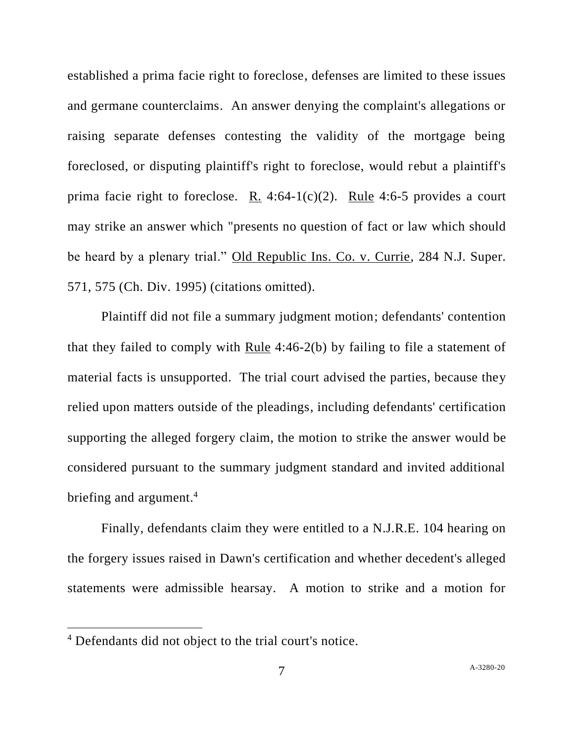established a prima facie right to foreclose, defenses are limited to these issues and germane counterclaims. An answer denying the complaint's allegations or raising separate defenses contesting the validity of the mortgage being foreclosed, or disputing plaintiff's right to foreclose, would rebut a plaintiff's prima facie right to foreclose. R. 4:64-1(c)(2). Rule 4:6-5 provides a court may strike an answer which "presents no question of fact or law which should be heard by a plenary trial." Old Republic Ins. Co. v. Currie, 284 N.J. Super. 571, 575 (Ch. Div. 1995) (citations omitted).

Plaintiff did not file a summary judgment motion; defendants' contention that they failed to comply with  $Rule 4:46-2(b)$  by failing to file a statement of material facts is unsupported. The trial court advised the parties, because they relied upon matters outside of the pleadings, including defendants' certification supporting the alleged forgery claim, the motion to strike the answer would be considered pursuant to the summary judgment standard and invited additional briefing and argument. 4

Finally, defendants claim they were entitled to a N.J.R.E. 104 hearing on the forgery issues raised in Dawn's certification and whether decedent's alleged statements were admissible hearsay. A motion to strike and a motion for

<sup>4</sup> Defendants did not object to the trial court's notice.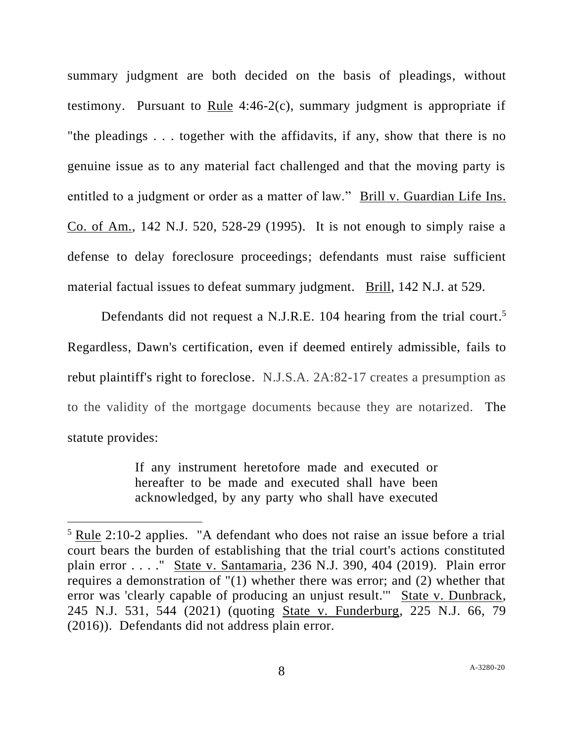summary judgment are both decided on the basis of pleadings, without testimony. Pursuant to Rule 4:46-2(c), summary judgment is appropriate if "the pleadings . . . together with the affidavits, if any, show that there is no genuine issue as to any material fact challenged and that the moving party is entitled to a judgment or order as a matter of law." Brill v. Guardian Life Ins. Co. of Am., 142 N.J. 520, 528-29 (1995). It is not enough to simply raise a defense to delay foreclosure proceedings; defendants must raise sufficient material factual issues to defeat summary judgment. Brill, 142 N.J. at 529.

Defendants did not request a N.J.R.E. 104 hearing from the trial court.<sup>5</sup> Regardless, Dawn's certification, even if deemed entirely admissible, fails to rebut plaintiff's right to foreclose. N.J.S.A. 2A:82-17 creates a presumption as to the validity of the mortgage documents because they are notarized. The statute provides:

> If any instrument heretofore made and executed or hereafter to be made and executed shall have been acknowledged, by any party who shall have executed

<sup>&</sup>lt;sup>5</sup> Rule 2:10-2 applies. "A defendant who does not raise an issue before a trial court bears the burden of establishing that the trial court's actions constituted plain error . . . ." State v. Santamaria, 236 N.J. 390, 404 (2019). Plain error requires a demonstration of "(1) whether there was error; and (2) whether that error was 'clearly capable of producing an unjust result.'" State v. Dunbrack, 245 N.J. 531, 544 (2021) (quoting State v. Funderburg, 225 N.J. 66, 79 (2016)). Defendants did not address plain error.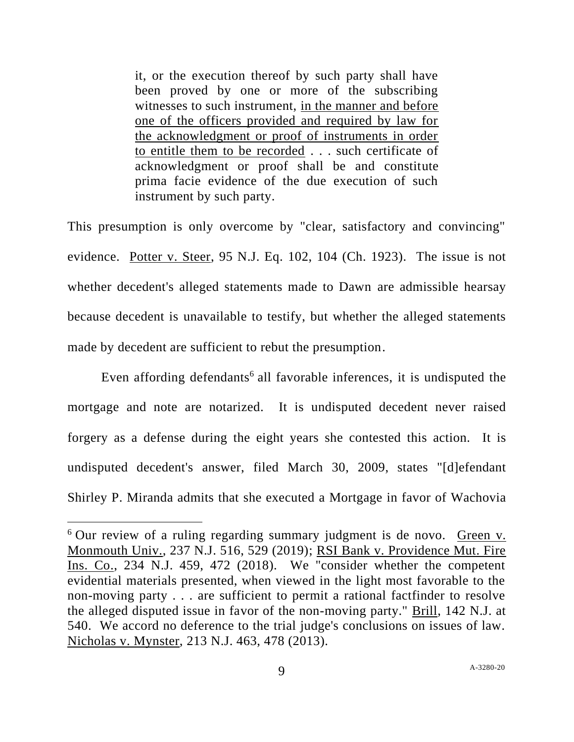it, or the execution thereof by such party shall have been proved by one or more of the subscribing witnesses to such instrument, in the manner and before one of the officers provided and required by law for the acknowledgment or proof of instruments in order to entitle them to be recorded . . . such certificate of acknowledgment or proof shall be and constitute prima facie evidence of the due execution of such instrument by such party.

This presumption is only overcome by "clear, satisfactory and convincing" evidence. Potter v. Steer, 95 N.J. Eq. 102, 104 (Ch. 1923). The issue is not whether decedent's alleged statements made to Dawn are admissible hearsay because decedent is unavailable to testify, but whether the alleged statements made by decedent are sufficient to rebut the presumption.

Even affording defendants<sup>6</sup> all favorable inferences, it is undisputed the mortgage and note are notarized. It is undisputed decedent never raised forgery as a defense during the eight years she contested this action. It is undisputed decedent's answer, filed March 30, 2009, states "[d]efendant Shirley P. Miranda admits that she executed a Mortgage in favor of Wachovia

<sup>&</sup>lt;sup>6</sup> Our review of a ruling regarding summary judgment is de novo. Green v. Monmouth Univ., 237 N.J. 516, 529 (2019); RSI Bank v. Providence Mut. Fire Ins. Co., 234 N.J. 459, 472 (2018). We "consider whether the competent evidential materials presented, when viewed in the light most favorable to the non-moving party . . . are sufficient to permit a rational factfinder to resolve the alleged disputed issue in favor of the non-moving party." Brill, 142 N.J. at 540. We accord no deference to the trial judge's conclusions on issues of law. Nicholas v. Mynster, 213 N.J. 463, 478 (2013).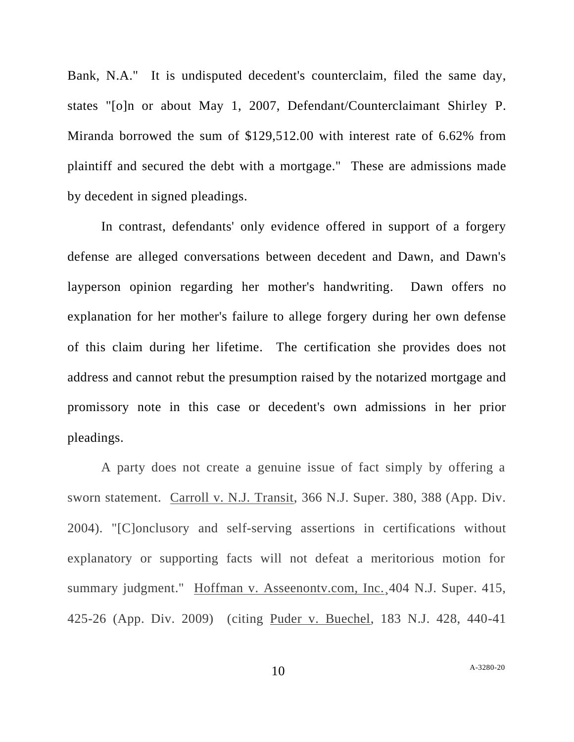Bank, N.A." It is undisputed decedent's counterclaim, filed the same day, states "[o]n or about May 1, 2007, Defendant/Counterclaimant Shirley P. Miranda borrowed the sum of \$129,512.00 with interest rate of 6.62% from plaintiff and secured the debt with a mortgage." These are admissions made by decedent in signed pleadings.

In contrast, defendants' only evidence offered in support of a forgery defense are alleged conversations between decedent and Dawn, and Dawn's layperson opinion regarding her mother's handwriting. Dawn offers no explanation for her mother's failure to allege forgery during her own defense of this claim during her lifetime. The certification she provides does not address and cannot rebut the presumption raised by the notarized mortgage and promissory note in this case or decedent's own admissions in her prior pleadings.

A party does not create a genuine issue of fact simply by offering a sworn statement. Carroll v. N.J. Transit, 366 N.J. Super. 380, 388 (App. Div. 2004). "[C]onclusory and self-serving assertions in certifications without explanatory or supporting facts will not defeat a meritorious motion for summary judgment." Hoffman v. Asseenontv.com, Inc.¸404 N.J. Super. 415, 425-26 (App. Div. 2009) (citing Puder v. Buechel, 183 N.J. 428, 440-41